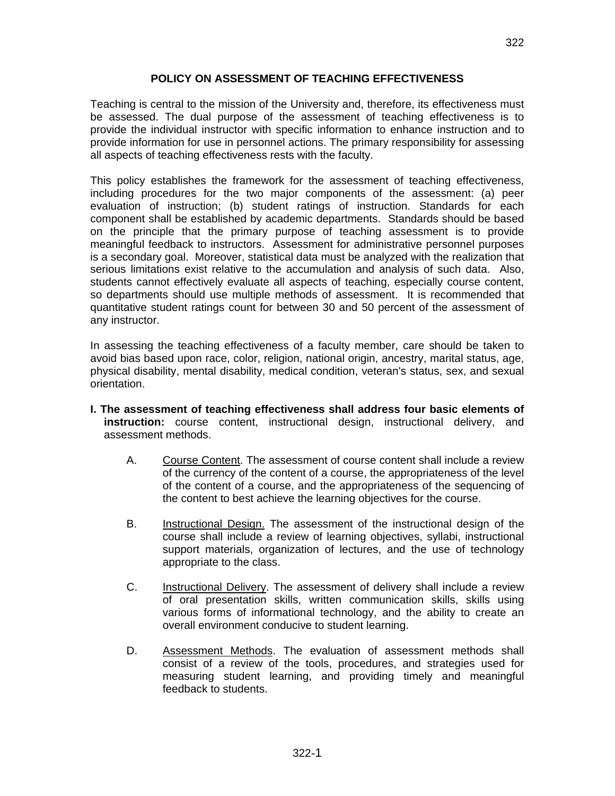### **POLICY ON ASSESSMENT OF TEACHING EFFECTIVENESS**

Teaching is central to the mission of the University and, therefore, its effectiveness must be assessed. The dual purpose of the assessment of teaching effectiveness is to provide the individual instructor with specific information to enhance instruction and to provide information for use in personnel actions. The primary responsibility for assessing all aspects of teaching effectiveness rests with the faculty.

This policy establishes the framework for the assessment of teaching effectiveness, including procedures for the two major components of the assessment: (a) peer evaluation of instruction; (b) student ratings of instruction. Standards for each component shall be established by academic departments. Standards should be based on the principle that the primary purpose of teaching assessment is to provide meaningful feedback to instructors. Assessment for administrative personnel purposes is a secondary goal. Moreover, statistical data must be analyzed with the realization that serious limitations exist relative to the accumulation and analysis of such data. Also, students cannot effectively evaluate all aspects of teaching, especially course content, so departments should use multiple methods of assessment. It is recommended that quantitative student ratings count for between 30 and 50 percent of the assessment of any instructor.

In assessing the teaching effectiveness of a faculty member, care should be taken to avoid bias based upon race, color, religion, national origin, ancestry, marital status, age, physical disability, mental disability, medical condition, veteran's status, sex, and sexual orientation.

- **I. The assessment of teaching effectiveness shall address four basic elements of instruction:** course content, instructional design, instructional delivery, and assessment methods.
	- A. Course Content. The assessment of course content shall include a review of the currency of the content of a course, the appropriateness of the level of the content of a course, and the appropriateness of the sequencing of the content to best achieve the learning objectives for the course.
	- B. Instructional Design. The assessment of the instructional design of the course shall include a review of learning objectives, syllabi, instructional support materials, organization of lectures, and the use of technology appropriate to the class.
	- C. Instructional Delivery. The assessment of delivery shall include a review of oral presentation skills, written communication skills, skills using various forms of informational technology, and the ability to create an overall environment conducive to student learning.
	- D. Assessment Methods. The evaluation of assessment methods shall consist of a review of the tools, procedures, and strategies used for measuring student learning, and providing timely and meaningful feedback to students.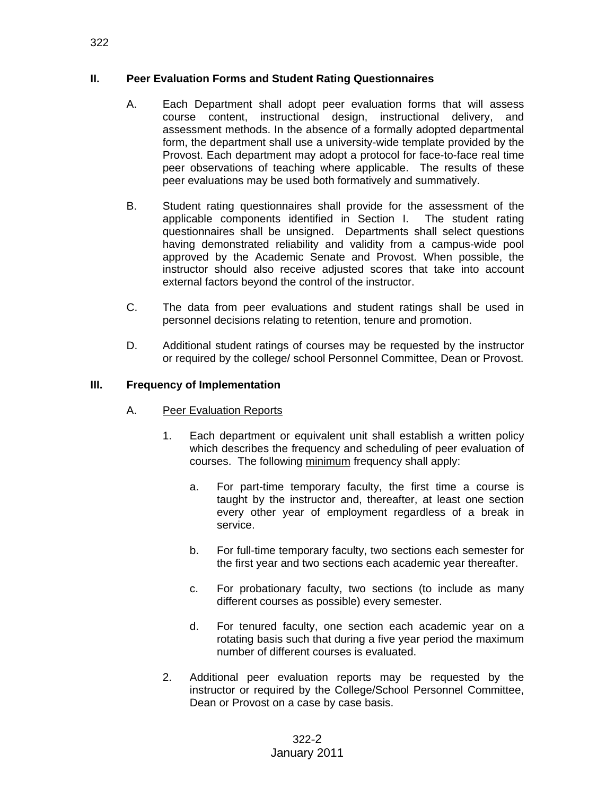### **II. Peer Evaluation Forms and Student Rating Questionnaires**

- A. Each Department shall adopt peer evaluation forms that will assess course content, instructional design, instructional delivery, and assessment methods. In the absence of a formally adopted departmental form, the department shall use a university-wide template provided by the Provost. Each department may adopt a protocol for face-to-face real time peer observations of teaching where applicable. The results of these peer evaluations may be used both formatively and summatively.
- B. Student rating questionnaires shall provide for the assessment of the applicable components identified in Section I. The student rating questionnaires shall be unsigned. Departments shall select questions having demonstrated reliability and validity from a campus-wide pool approved by the Academic Senate and Provost. When possible, the instructor should also receive adjusted scores that take into account external factors beyond the control of the instructor.
- C. The data from peer evaluations and student ratings shall be used in personnel decisions relating to retention, tenure and promotion.
- D. Additional student ratings of courses may be requested by the instructor or required by the college/ school Personnel Committee, Dean or Provost.

### **III. Frequency of Implementation**

- A. Peer Evaluation Reports
	- 1. Each department or equivalent unit shall establish a written policy which describes the frequency and scheduling of peer evaluation of courses. The following minimum frequency shall apply:
		- a. For part-time temporary faculty, the first time a course is taught by the instructor and, thereafter, at least one section every other year of employment regardless of a break in service.
		- b. For full-time temporary faculty, two sections each semester for the first year and two sections each academic year thereafter.
		- c. For probationary faculty, two sections (to include as many different courses as possible) every semester.
		- d. For tenured faculty, one section each academic year on a rotating basis such that during a five year period the maximum number of different courses is evaluated.
	- 2. Additional peer evaluation reports may be requested by the instructor or required by the College/School Personnel Committee, Dean or Provost on a case by case basis.

322-2 January 2011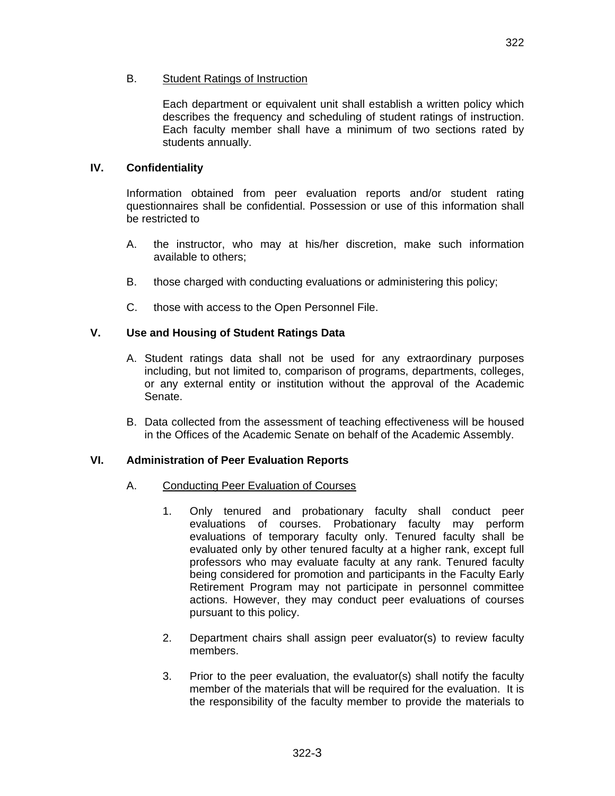### B. Student Ratings of Instruction

Each department or equivalent unit shall establish a written policy which describes the frequency and scheduling of student ratings of instruction. Each faculty member shall have a minimum of two sections rated by students annually.

### **IV. Confidentiality**

Information obtained from peer evaluation reports and/or student rating questionnaires shall be confidential. Possession or use of this information shall be restricted to

- A. the instructor, who may at his/her discretion, make such information available to others;
- B. those charged with conducting evaluations or administering this policy;
- C. those with access to the Open Personnel File.

### **V. Use and Housing of Student Ratings Data**

- A. Student ratings data shall not be used for any extraordinary purposes including, but not limited to, comparison of programs, departments, colleges, or any external entity or institution without the approval of the Academic Senate.
- B. Data collected from the assessment of teaching effectiveness will be housed in the Offices of the Academic Senate on behalf of the Academic Assembly.

### **VI. Administration of Peer Evaluation Reports**

### A. Conducting Peer Evaluation of Courses

- 1. Only tenured and probationary faculty shall conduct peer evaluations of courses. Probationary faculty may perform evaluations of temporary faculty only. Tenured faculty shall be evaluated only by other tenured faculty at a higher rank, except full professors who may evaluate faculty at any rank. Tenured faculty being considered for promotion and participants in the Faculty Early Retirement Program may not participate in personnel committee actions. However, they may conduct peer evaluations of courses pursuant to this policy.
- 2. Department chairs shall assign peer evaluator(s) to review faculty members.
- 3. Prior to the peer evaluation, the evaluator(s) shall notify the faculty member of the materials that will be required for the evaluation. It is the responsibility of the faculty member to provide the materials to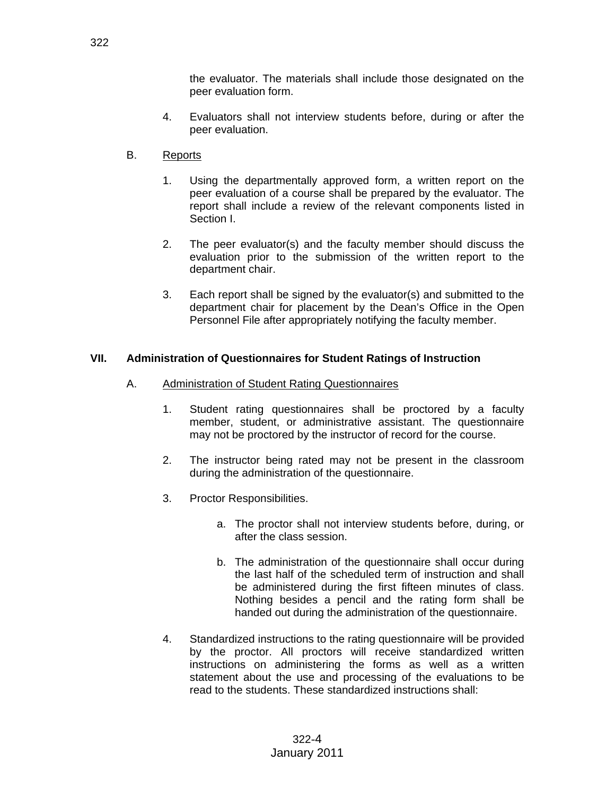the evaluator. The materials shall include those designated on the peer evaluation form.

- 4. Evaluators shall not interview students before, during or after the peer evaluation.
- B. Reports
	- 1. Using the departmentally approved form, a written report on the peer evaluation of a course shall be prepared by the evaluator. The report shall include a review of the relevant components listed in Section I.
	- 2. The peer evaluator(s) and the faculty member should discuss the evaluation prior to the submission of the written report to the department chair.
	- 3. Each report shall be signed by the evaluator(s) and submitted to the department chair for placement by the Dean's Office in the Open Personnel File after appropriately notifying the faculty member.

# **VII. Administration of Questionnaires for Student Ratings of Instruction**

- A. Administration of Student Rating Questionnaires
	- 1. Student rating questionnaires shall be proctored by a faculty member, student, or administrative assistant. The questionnaire may not be proctored by the instructor of record for the course.
	- 2. The instructor being rated may not be present in the classroom during the administration of the questionnaire.
	- 3. Proctor Responsibilities.
		- a. The proctor shall not interview students before, during, or after the class session.
		- b. The administration of the questionnaire shall occur during the last half of the scheduled term of instruction and shall be administered during the first fifteen minutes of class. Nothing besides a pencil and the rating form shall be handed out during the administration of the questionnaire.
	- 4. Standardized instructions to the rating questionnaire will be provided by the proctor. All proctors will receive standardized written instructions on administering the forms as well as a written statement about the use and processing of the evaluations to be read to the students. These standardized instructions shall: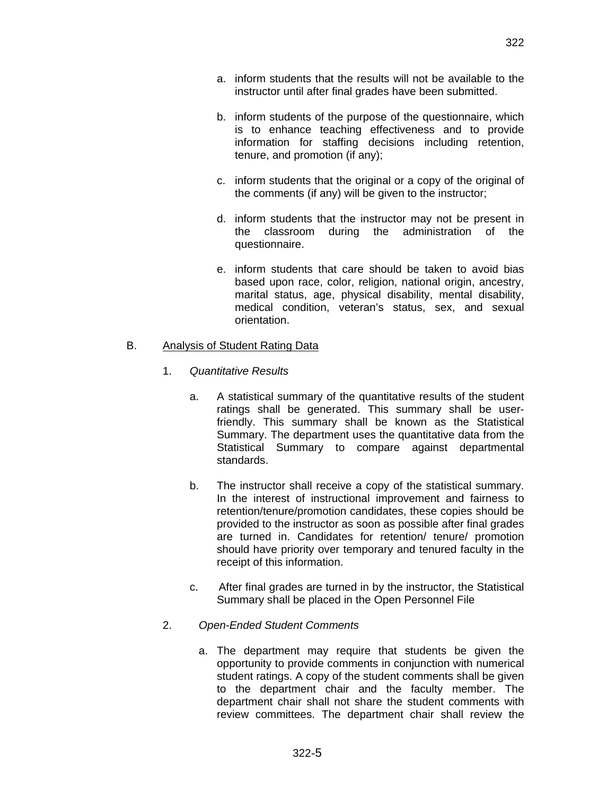- a. inform students that the results will not be available to the instructor until after final grades have been submitted.
- b. inform students of the purpose of the questionnaire, which is to enhance teaching effectiveness and to provide information for staffing decisions including retention, tenure, and promotion (if any);
- c. inform students that the original or a copy of the original of the comments (if any) will be given to the instructor;
- d. inform students that the instructor may not be present in the classroom during the administration of the questionnaire.
- e. inform students that care should be taken to avoid bias based upon race, color, religion, national origin, ancestry, marital status, age, physical disability, mental disability, medical condition, veteran's status, sex, and sexual orientation.

### B. Analysis of Student Rating Data

- 1. *Quantitative Results*
	- a. A statistical summary of the quantitative results of the student ratings shall be generated. This summary shall be userfriendly. This summary shall be known as the Statistical Summary. The department uses the quantitative data from the Statistical Summary to compare against departmental standards.
	- b. The instructor shall receive a copy of the statistical summary. In the interest of instructional improvement and fairness to retention/tenure/promotion candidates, these copies should be provided to the instructor as soon as possible after final grades are turned in. Candidates for retention/ tenure/ promotion should have priority over temporary and tenured faculty in the receipt of this information.
	- c. After final grades are turned in by the instructor, the Statistical Summary shall be placed in the Open Personnel File

### 2. *Open-Ended Student Comments*

a. The department may require that students be given the opportunity to provide comments in conjunction with numerical student ratings. A copy of the student comments shall be given to the department chair and the faculty member. The department chair shall not share the student comments with review committees. The department chair shall review the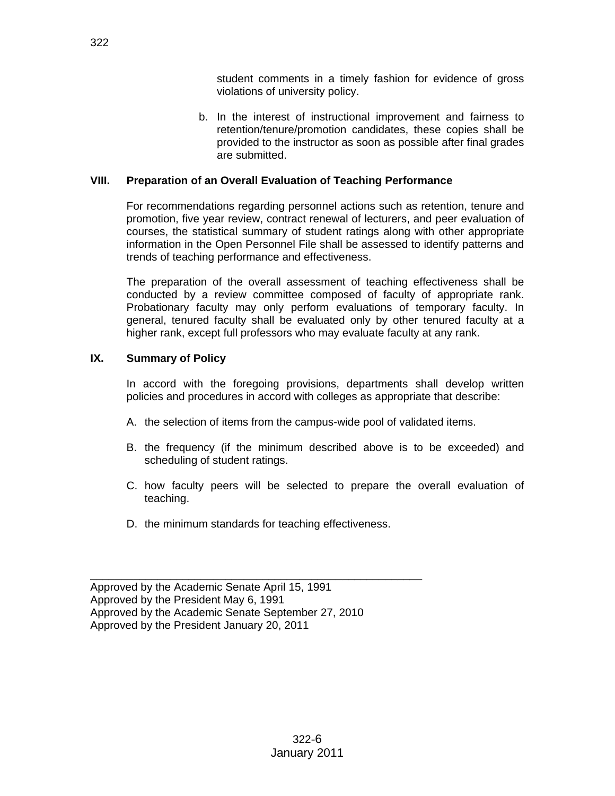student comments in a timely fashion for evidence of gross violations of university policy.

b. In the interest of instructional improvement and fairness to retention/tenure/promotion candidates, these copies shall be provided to the instructor as soon as possible after final grades are submitted.

### **VIII. Preparation of an Overall Evaluation of Teaching Performance**

For recommendations regarding personnel actions such as retention, tenure and promotion, five year review, contract renewal of lecturers, and peer evaluation of courses, the statistical summary of student ratings along with other appropriate information in the Open Personnel File shall be assessed to identify patterns and trends of teaching performance and effectiveness.

The preparation of the overall assessment of teaching effectiveness shall be conducted by a review committee composed of faculty of appropriate rank. Probationary faculty may only perform evaluations of temporary faculty. In general, tenured faculty shall be evaluated only by other tenured faculty at a higher rank, except full professors who may evaluate faculty at any rank.

### **IX. Summary of Policy**

In accord with the foregoing provisions, departments shall develop written policies and procedures in accord with colleges as appropriate that describe:

- A. the selection of items from the campus-wide pool of validated items.
- B. the frequency (if the minimum described above is to be exceeded) and scheduling of student ratings.
- C. how faculty peers will be selected to prepare the overall evaluation of teaching.
- D. the minimum standards for teaching effectiveness.

\_\_\_\_\_\_\_\_\_\_\_\_\_\_\_\_\_\_\_\_\_\_\_\_\_\_\_\_\_\_\_\_\_\_\_\_\_\_\_\_\_\_\_\_\_\_\_\_\_\_\_\_\_\_

Approved by the Academic Senate April 15, 1991 Approved by the President May 6, 1991 Approved by the Academic Senate September 27, 2010 Approved by the President January 20, 2011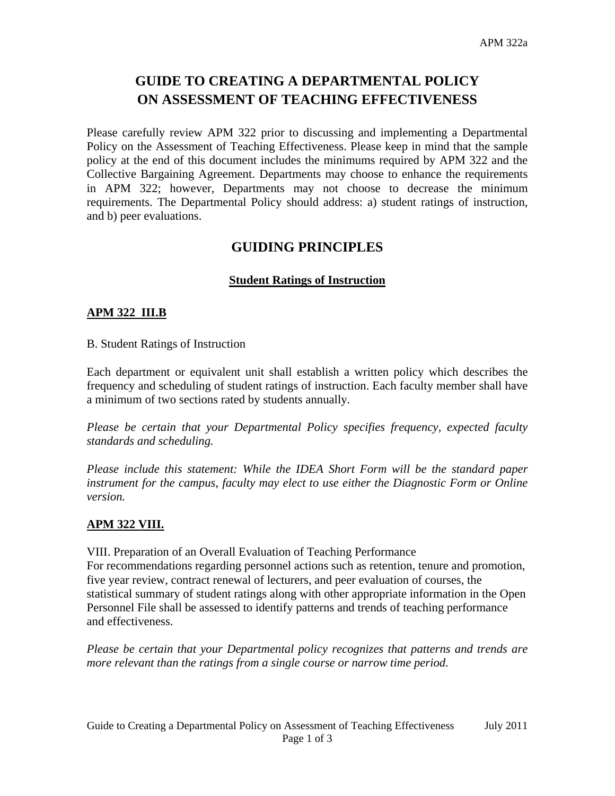# **GUIDE TO CREATING A DEPARTMENTAL POLICY ON ASSESSMENT OF TEACHING EFFECTIVENESS**

Please carefully review APM 322 prior to discussing and implementing a Departmental Policy on the Assessment of Teaching Effectiveness. Please keep in mind that the sample policy at the end of this document includes the minimums required by APM 322 and the Collective Bargaining Agreement. Departments may choose to enhance the requirements in APM 322; however, Departments may not choose to decrease the minimum requirements. The Departmental Policy should address: a) student ratings of instruction, and b) peer evaluations.

# **GUIDING PRINCIPLES**

# **Student Ratings of Instruction**

### **APM 322 III.B**

B. Student Ratings of Instruction

Each department or equivalent unit shall establish a written policy which describes the frequency and scheduling of student ratings of instruction. Each faculty member shall have a minimum of two sections rated by students annually.

*Please be certain that your Departmental Policy specifies frequency, expected faculty standards and scheduling.* 

*Please include this statement: While the IDEA Short Form will be the standard paper instrument for the campus, faculty may elect to use either the Diagnostic Form or Online version.* 

### **APM 322 VIII.**

VIII. Preparation of an Overall Evaluation of Teaching Performance For recommendations regarding personnel actions such as retention, tenure and promotion, five year review, contract renewal of lecturers, and peer evaluation of courses, the statistical summary of student ratings along with other appropriate information in the Open Personnel File shall be assessed to identify patterns and trends of teaching performance and effectiveness.

*Please be certain that your Departmental policy recognizes that patterns and trends are more relevant than the ratings from a single course or narrow time period.*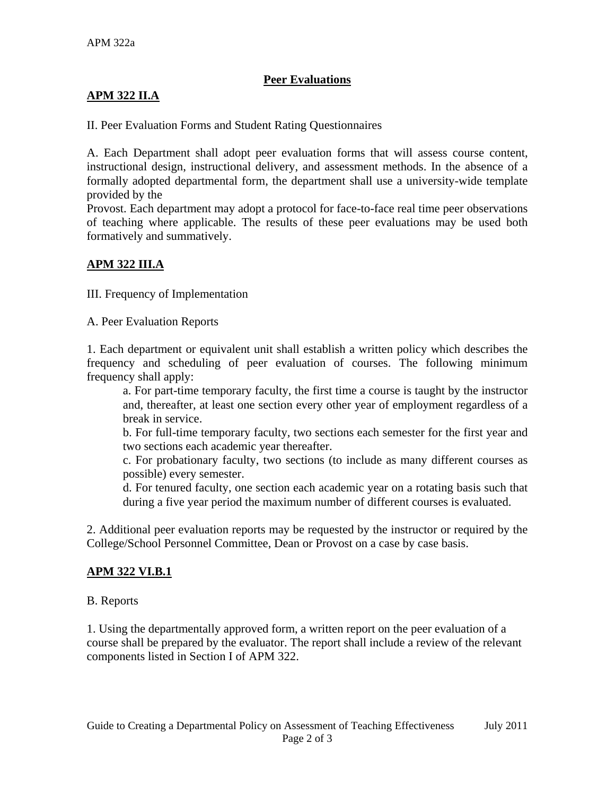# **Peer Evaluations**

# **APM 322 II.A**

II. Peer Evaluation Forms and Student Rating Questionnaires

A. Each Department shall adopt peer evaluation forms that will assess course content, instructional design, instructional delivery, and assessment methods. In the absence of a formally adopted departmental form, the department shall use a university-wide template provided by the

Provost. Each department may adopt a protocol for face-to-face real time peer observations of teaching where applicable. The results of these peer evaluations may be used both formatively and summatively.

# **APM 322 III.A**

III. Frequency of Implementation

A. Peer Evaluation Reports

1. Each department or equivalent unit shall establish a written policy which describes the frequency and scheduling of peer evaluation of courses. The following minimum frequency shall apply:

a. For part-time temporary faculty, the first time a course is taught by the instructor and, thereafter, at least one section every other year of employment regardless of a break in service.

b. For full-time temporary faculty, two sections each semester for the first year and two sections each academic year thereafter.

c. For probationary faculty, two sections (to include as many different courses as possible) every semester.

d. For tenured faculty, one section each academic year on a rotating basis such that during a five year period the maximum number of different courses is evaluated.

2. Additional peer evaluation reports may be requested by the instructor or required by the College/School Personnel Committee, Dean or Provost on a case by case basis.

# **APM 322 VI.B.1**

### B. Reports

1. Using the departmentally approved form, a written report on the peer evaluation of a course shall be prepared by the evaluator. The report shall include a review of the relevant components listed in Section I of APM 322.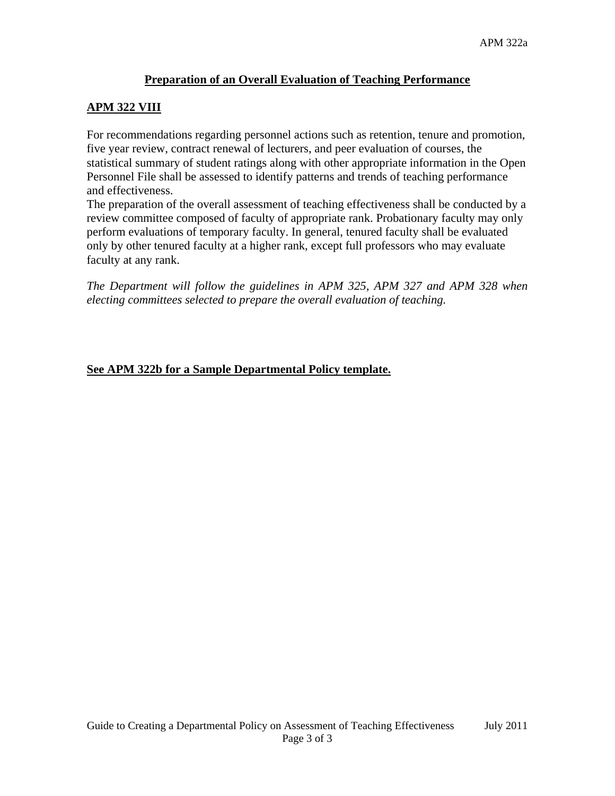# **Preparation of an Overall Evaluation of Teaching Performance**

# **APM 322 VIII**

For recommendations regarding personnel actions such as retention, tenure and promotion, five year review, contract renewal of lecturers, and peer evaluation of courses, the statistical summary of student ratings along with other appropriate information in the Open Personnel File shall be assessed to identify patterns and trends of teaching performance and effectiveness.

The preparation of the overall assessment of teaching effectiveness shall be conducted by a review committee composed of faculty of appropriate rank. Probationary faculty may only perform evaluations of temporary faculty. In general, tenured faculty shall be evaluated only by other tenured faculty at a higher rank, except full professors who may evaluate faculty at any rank.

*The Department will follow the guidelines in APM 325, APM 327 and APM 328 when electing committees selected to prepare the overall evaluation of teaching.*

# **See APM 322b for a Sample Departmental Policy template.**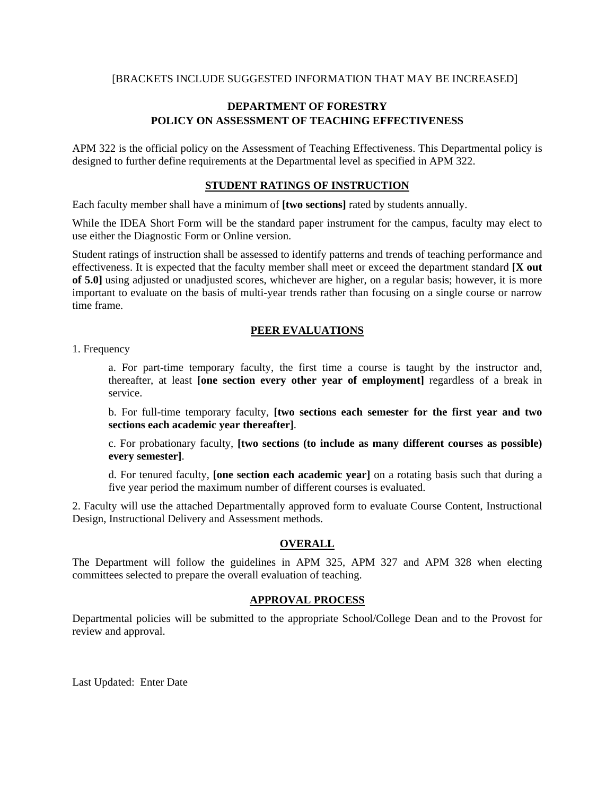#### [BRACKETS INCLUDE SUGGESTED INFORMATION THAT MAY BE INCREASED]

### **DEPARTMENT OF FORESTRY POLICY ON ASSESSMENT OF TEACHING EFFECTIVENESS**

APM 322 is the official policy on the Assessment of Teaching Effectiveness. This Departmental policy is designed to further define requirements at the Departmental level as specified in APM 322.

#### **STUDENT RATINGS OF INSTRUCTION**

Each faculty member shall have a minimum of **[two sections]** rated by students annually.

While the IDEA Short Form will be the standard paper instrument for the campus, faculty may elect to use either the Diagnostic Form or Online version.

Student ratings of instruction shall be assessed to identify patterns and trends of teaching performance and effectiveness. It is expected that the faculty member shall meet or exceed the department standard **[X out of 5.0]** using adjusted or unadjusted scores, whichever are higher, on a regular basis; however, it is more important to evaluate on the basis of multi-year trends rather than focusing on a single course or narrow time frame.

#### **PEER EVALUATIONS**

1. Frequency

a. For part-time temporary faculty, the first time a course is taught by the instructor and, thereafter, at least **[one section every other year of employment]** regardless of a break in service.

b. For full-time temporary faculty, **[two sections each semester for the first year and two sections each academic year thereafter]**.

c. For probationary faculty, **[two sections (to include as many different courses as possible) every semester]**.

d. For tenured faculty, **[one section each academic year]** on a rotating basis such that during a five year period the maximum number of different courses is evaluated.

2. Faculty will use the attached Departmentally approved form to evaluate Course Content, Instructional Design, Instructional Delivery and Assessment methods.

#### **OVERALL**

The Department will follow the guidelines in APM 325, APM 327 and APM 328 when electing committees selected to prepare the overall evaluation of teaching.

#### **APPROVAL PROCESS**

Departmental policies will be submitted to the appropriate School/College Dean and to the Provost for review and approval.

Last Updated: Enter Date